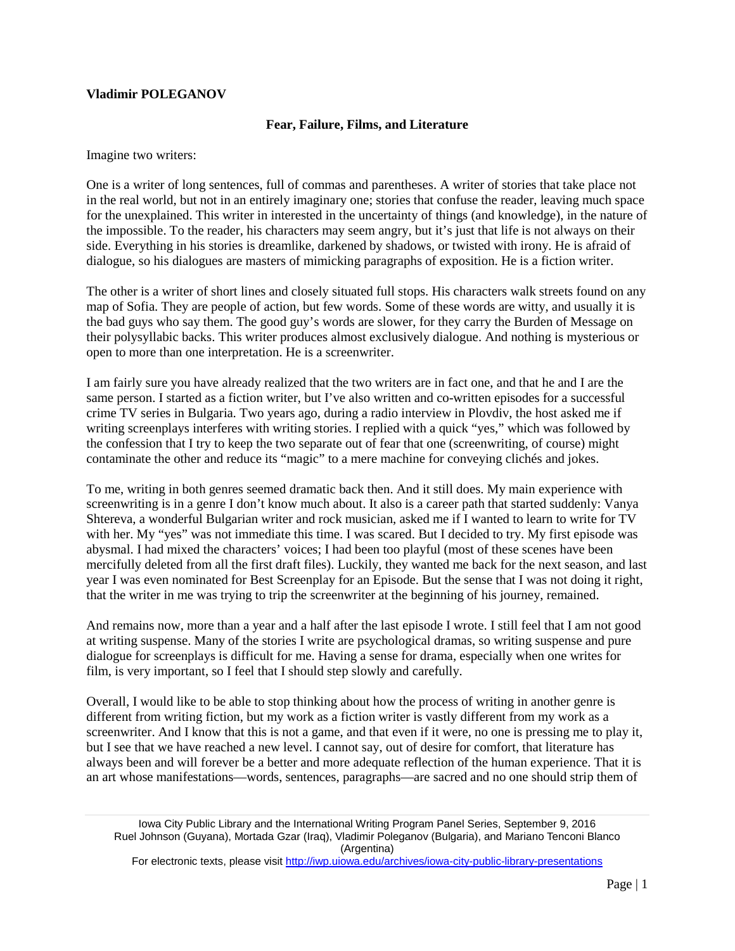## **Vladimir POLEGANOV**

## **Fear, Failure, Films, and Literature**

Imagine two writers:

One is a writer of long sentences, full of commas and parentheses. A writer of stories that take place not in the real world, but not in an entirely imaginary one; stories that confuse the reader, leaving much space for the unexplained. This writer in interested in the uncertainty of things (and knowledge), in the nature of the impossible. To the reader, his characters may seem angry, but it's just that life is not always on their side. Everything in his stories is dreamlike, darkened by shadows, or twisted with irony. He is afraid of dialogue, so his dialogues are masters of mimicking paragraphs of exposition. He is a fiction writer.

The other is a writer of short lines and closely situated full stops. His characters walk streets found on any map of Sofia. They are people of action, but few words. Some of these words are witty, and usually it is the bad guys who say them. The good guy's words are slower, for they carry the Burden of Message on their polysyllabic backs. This writer produces almost exclusively dialogue. And nothing is mysterious or open to more than one interpretation. He is a screenwriter.

I am fairly sure you have already realized that the two writers are in fact one, and that he and I are the same person. I started as a fiction writer, but I've also written and co-written episodes for a successful crime TV series in Bulgaria. Two years ago, during a radio interview in Plovdiv, the host asked me if writing screenplays interferes with writing stories. I replied with a quick "yes," which was followed by the confession that I try to keep the two separate out of fear that one (screenwriting, of course) might contaminate the other and reduce its "magic" to a mere machine for conveying clichés and jokes.

To me, writing in both genres seemed dramatic back then. And it still does. My main experience with screenwriting is in a genre I don't know much about. It also is a career path that started suddenly: Vanya Shtereva, a wonderful Bulgarian writer and rock musician, asked me if I wanted to learn to write for TV with her. My "yes" was not immediate this time. I was scared. But I decided to try. My first episode was abysmal. I had mixed the characters' voices; I had been too playful (most of these scenes have been mercifully deleted from all the first draft files). Luckily, they wanted me back for the next season, and last year I was even nominated for Best Screenplay for an Episode. But the sense that I was not doing it right, that the writer in me was trying to trip the screenwriter at the beginning of his journey, remained.

And remains now, more than a year and a half after the last episode I wrote. I still feel that I am not good at writing suspense. Many of the stories I write are psychological dramas, so writing suspense and pure dialogue for screenplays is difficult for me. Having a sense for drama, especially when one writes for film, is very important, so I feel that I should step slowly and carefully.

Overall, I would like to be able to stop thinking about how the process of writing in another genre is different from writing fiction, but my work as a fiction writer is vastly different from my work as a screenwriter. And I know that this is not a game, and that even if it were, no one is pressing me to play it, but I see that we have reached a new level. I cannot say, out of desire for comfort, that literature has always been and will forever be a better and more adequate reflection of the human experience. That it is an art whose manifestations—words, sentences, paragraphs—are sacred and no one should strip them of

For electronic texts, please visit<http://iwp.uiowa.edu/archives/iowa-city-public-library-presentations>